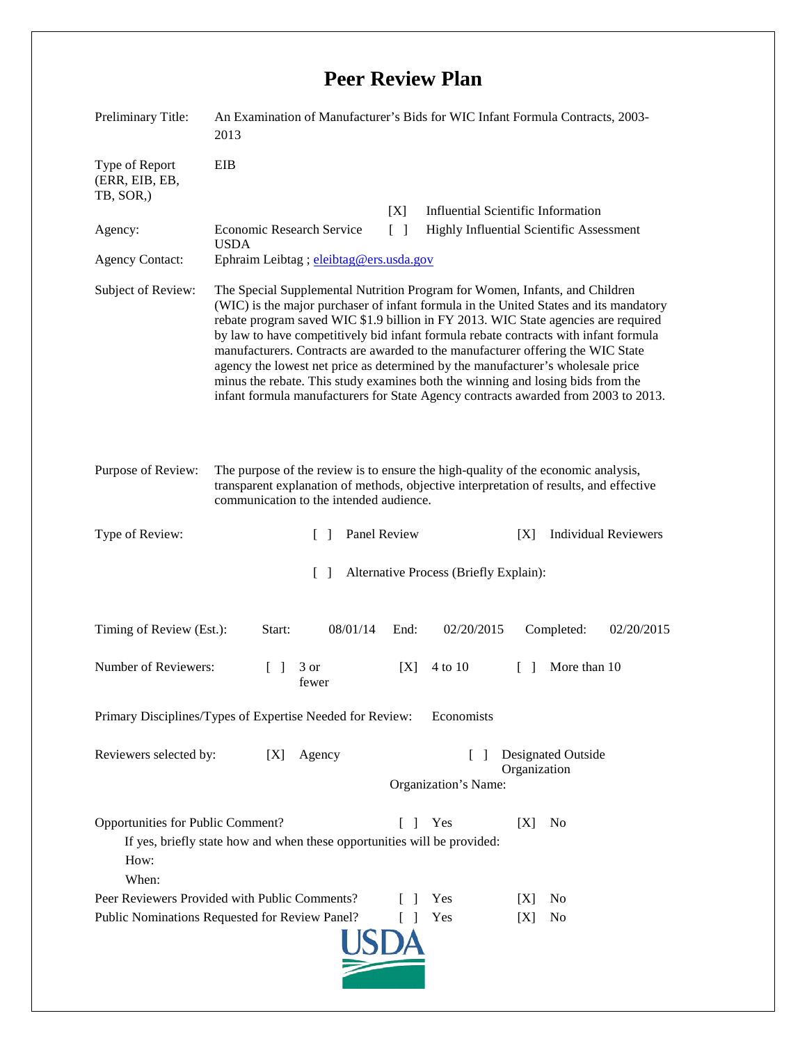## **Peer Review Plan**

| Preliminary Title:                                                                                                                                                       | An Examination of Manufacturer's Bids for WIC Infant Formula Contracts, 2003-<br>2013                                                                                                                                                                                                                                                                                                                                                                                                                                                                                                                                                                                                             |                          |                                                                                                                                                                             |
|--------------------------------------------------------------------------------------------------------------------------------------------------------------------------|---------------------------------------------------------------------------------------------------------------------------------------------------------------------------------------------------------------------------------------------------------------------------------------------------------------------------------------------------------------------------------------------------------------------------------------------------------------------------------------------------------------------------------------------------------------------------------------------------------------------------------------------------------------------------------------------------|--------------------------|-----------------------------------------------------------------------------------------------------------------------------------------------------------------------------|
| Type of Report<br>(ERR, EIB, EB,<br>TB, SOR,)                                                                                                                            | EIB                                                                                                                                                                                                                                                                                                                                                                                                                                                                                                                                                                                                                                                                                               |                          |                                                                                                                                                                             |
|                                                                                                                                                                          |                                                                                                                                                                                                                                                                                                                                                                                                                                                                                                                                                                                                                                                                                                   | [X]                      | <b>Influential Scientific Information</b>                                                                                                                                   |
| Agency:                                                                                                                                                                  | <b>Economic Research Service</b><br><b>USDA</b>                                                                                                                                                                                                                                                                                                                                                                                                                                                                                                                                                                                                                                                   | $\lceil \; \rceil$       | Highly Influential Scientific Assessment                                                                                                                                    |
| <b>Agency Contact:</b>                                                                                                                                                   | Ephraim Leibtag; eleibtag@ers.usda.gov                                                                                                                                                                                                                                                                                                                                                                                                                                                                                                                                                                                                                                                            |                          |                                                                                                                                                                             |
| Subject of Review:                                                                                                                                                       | The Special Supplemental Nutrition Program for Women, Infants, and Children<br>(WIC) is the major purchaser of infant formula in the United States and its mandatory<br>rebate program saved WIC \$1.9 billion in FY 2013. WIC State agencies are required<br>by law to have competitively bid infant formula rebate contracts with infant formula<br>manufacturers. Contracts are awarded to the manufacturer offering the WIC State<br>agency the lowest net price as determined by the manufacturer's wholesale price<br>minus the rebate. This study examines both the winning and losing bids from the<br>infant formula manufacturers for State Agency contracts awarded from 2003 to 2013. |                          |                                                                                                                                                                             |
| Purpose of Review:                                                                                                                                                       | communication to the intended audience.                                                                                                                                                                                                                                                                                                                                                                                                                                                                                                                                                                                                                                                           |                          | The purpose of the review is to ensure the high-quality of the economic analysis,<br>transparent explanation of methods, objective interpretation of results, and effective |
| Type of Review:                                                                                                                                                          | Panel Review<br>$\Box$                                                                                                                                                                                                                                                                                                                                                                                                                                                                                                                                                                                                                                                                            |                          | <b>Individual Reviewers</b><br>[X]                                                                                                                                          |
| Alternative Process (Briefly Explain):<br>$\mathcal{L}$                                                                                                                  |                                                                                                                                                                                                                                                                                                                                                                                                                                                                                                                                                                                                                                                                                                   |                          |                                                                                                                                                                             |
| Timing of Review (Est.):                                                                                                                                                 | 08/01/14<br>Start:                                                                                                                                                                                                                                                                                                                                                                                                                                                                                                                                                                                                                                                                                | End:                     | 02/20/2015<br>Completed:<br>02/20/2015                                                                                                                                      |
| Number of Reviewers:                                                                                                                                                     | 3 or<br>$\Box$<br>fewer                                                                                                                                                                                                                                                                                                                                                                                                                                                                                                                                                                                                                                                                           | [X]                      | More than 10<br>4 to 10<br>$\Box$                                                                                                                                           |
| Primary Disciplines/Types of Expertise Needed for Review:<br>Economists                                                                                                  |                                                                                                                                                                                                                                                                                                                                                                                                                                                                                                                                                                                                                                                                                                   |                          |                                                                                                                                                                             |
| Reviewers selected by:                                                                                                                                                   | Agency<br>[X]                                                                                                                                                                                                                                                                                                                                                                                                                                                                                                                                                                                                                                                                                     |                          | Designated Outside<br>L<br>Organization<br>Organization's Name:                                                                                                             |
| Opportunities for Public Comment?<br>Yes<br>[X]<br>N <sub>0</sub><br>$\Box$<br>If yes, briefly state how and when these opportunities will be provided:<br>How:<br>When: |                                                                                                                                                                                                                                                                                                                                                                                                                                                                                                                                                                                                                                                                                                   |                          |                                                                                                                                                                             |
|                                                                                                                                                                          | Peer Reviewers Provided with Public Comments?                                                                                                                                                                                                                                                                                                                                                                                                                                                                                                                                                                                                                                                     | $\overline{\phantom{a}}$ | Yes<br>N <sub>0</sub><br>[X]                                                                                                                                                |
| Yes<br>Public Nominations Requested for Review Panel?<br>No<br>$\Box$<br>[X]                                                                                             |                                                                                                                                                                                                                                                                                                                                                                                                                                                                                                                                                                                                                                                                                                   |                          |                                                                                                                                                                             |
|                                                                                                                                                                          |                                                                                                                                                                                                                                                                                                                                                                                                                                                                                                                                                                                                                                                                                                   |                          |                                                                                                                                                                             |